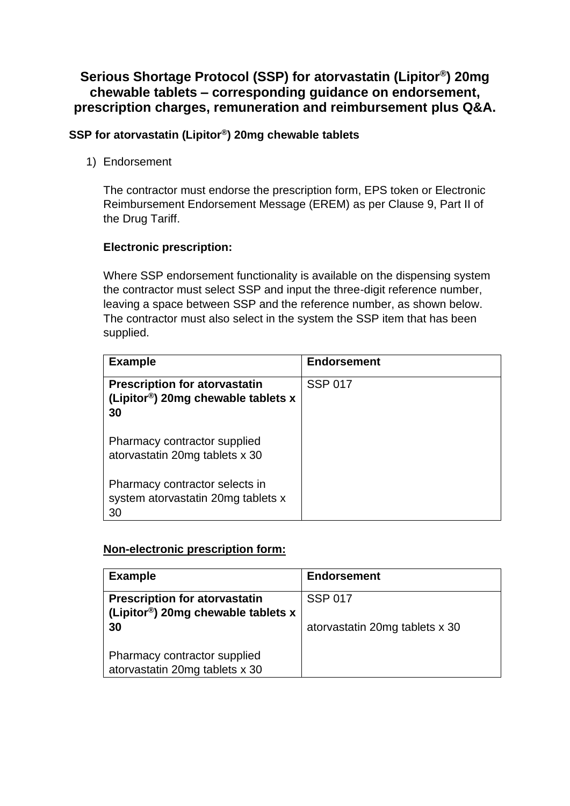## **Serious Shortage Protocol (SSP) for atorvastatin (Lipitor® ) 20mg chewable tablets – corresponding guidance on endorsement, prescription charges, remuneration and reimbursement plus Q&A.**

### **SSP for atorvastatin (Lipitor®) 20mg chewable tablets**

1) Endorsement

The contractor must endorse the prescription form, EPS token or Electronic Reimbursement Endorsement Message (EREM) as per Clause 9, Part II of the Drug Tariff.

## **Electronic prescription:**

Where SSP endorsement functionality is available on the dispensing system the contractor must select SSP and input the three-digit reference number, leaving a space between SSP and the reference number, as shown below. The contractor must also select in the system the SSP item that has been supplied.

| <b>Example</b>                                                                                  | <b>Endorsement</b> |
|-------------------------------------------------------------------------------------------------|--------------------|
| <b>Prescription for atorvastatin</b><br>(Lipitor <sup>®</sup> ) 20mg chewable tablets $x$<br>30 | <b>SSP 017</b>     |
| Pharmacy contractor supplied<br>atorvastatin 20mg tablets x 30                                  |                    |
| Pharmacy contractor selects in<br>system atorvastatin 20mg tablets x<br>30                      |                    |

### **Non-electronic prescription form:**

| <b>Example</b>                                                             | <b>Endorsement</b>             |
|----------------------------------------------------------------------------|--------------------------------|
| <b>Prescription for atorvastatin</b><br>(Lipitor®) 20mg chewable tablets x | <b>SSP 017</b>                 |
| 30                                                                         | atorvastatin 20mg tablets x 30 |
| Pharmacy contractor supplied<br>atorvastatin 20mg tablets x 30             |                                |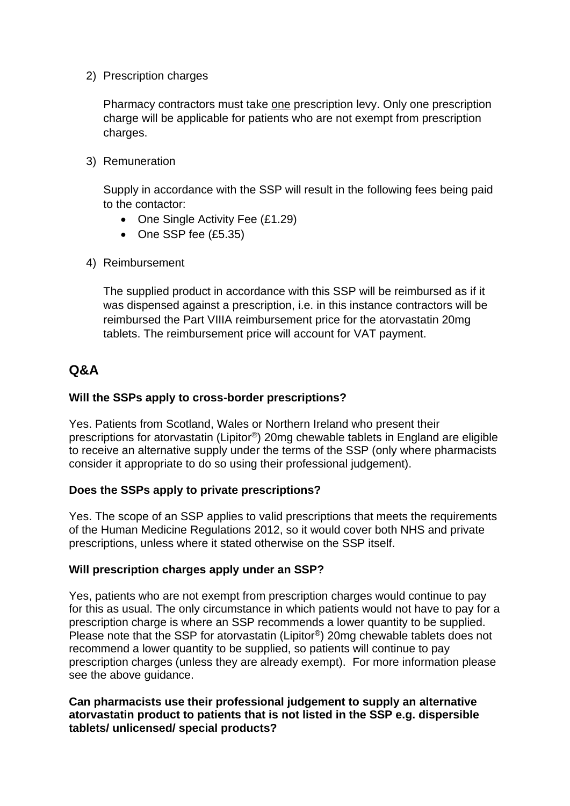2) Prescription charges

Pharmacy contractors must take one prescription levy. Only one prescription charge will be applicable for patients who are not exempt from prescription charges.

3) Remuneration

Supply in accordance with the SSP will result in the following fees being paid to the contactor:

- One Single Activity Fee (£1.29)
- One SSP fee (£5.35)
- 4) Reimbursement

The supplied product in accordance with this SSP will be reimbursed as if it was dispensed against a prescription, i.e. in this instance contractors will be reimbursed the Part VIIIA reimbursement price for the atorvastatin 20mg tablets. The reimbursement price will account for VAT payment.

# **Q&A**

### **Will the SSPs apply to cross-border prescriptions?**

Yes. Patients from Scotland, Wales or Northern Ireland who present their prescriptions for atorvastatin (Lipitor®) 20mg chewable tablets in England are eligible to receive an alternative supply under the terms of the SSP (only where pharmacists consider it appropriate to do so using their professional judgement).

### **Does the SSPs apply to private prescriptions?**

Yes. The scope of an SSP applies to valid prescriptions that meets the requirements of the Human Medicine Regulations 2012, so it would cover both NHS and private prescriptions, unless where it stated otherwise on the SSP itself.

#### **Will prescription charges apply under an SSP?**

Yes, patients who are not exempt from prescription charges would continue to pay for this as usual. The only circumstance in which patients would not have to pay for a prescription charge is where an SSP recommends a lower quantity to be supplied. Please note that the SSP for atorvastatin (Lipitor®) 20mg chewable tablets does not recommend a lower quantity to be supplied, so patients will continue to pay prescription charges (unless they are already exempt). For more information please see the above guidance.

#### **Can pharmacists use their professional judgement to supply an alternative atorvastatin product to patients that is not listed in the SSP e.g. dispersible tablets/ unlicensed/ special products?**